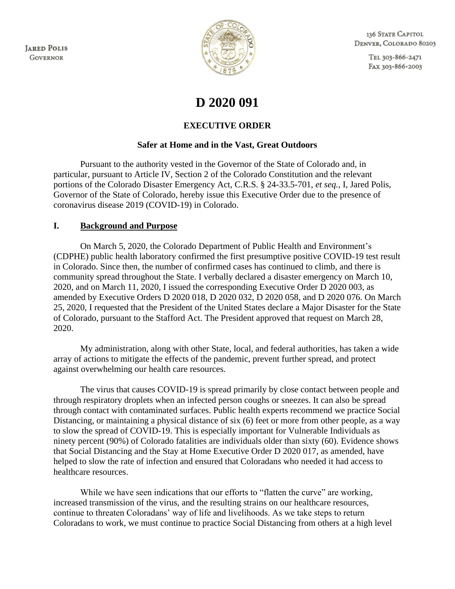**JARED POLIS GOVERNOR** 



136 STATE CAPITOL DENVER, COLORADO 80203

> TEL 303-866-2471 FAX 303-866-2003

# **D 2020 091**

## **EXECUTIVE ORDER**

### **Safer at Home and in the Vast, Great Outdoors**

Pursuant to the authority vested in the Governor of the State of Colorado and, in particular, pursuant to Article IV, Section 2 of the Colorado Constitution and the relevant portions of the Colorado Disaster Emergency Act, C.R.S. § 24-33.5-701, *et seq.*, I, Jared Polis, Governor of the State of Colorado, hereby issue this Executive Order due to the presence of coronavirus disease 2019 (COVID-19) in Colorado.

#### **I. Background and Purpose**

On March 5, 2020, the Colorado Department of Public Health and Environment's (CDPHE) public health laboratory confirmed the first presumptive positive COVID-19 test result in Colorado. Since then, the number of confirmed cases has continued to climb, and there is community spread throughout the State. I verbally declared a disaster emergency on March 10, 2020, and on March 11, 2020, I issued the corresponding Executive Order D 2020 003, as amended by Executive Orders D 2020 018, D 2020 032, D 2020 058, and D 2020 076. On March 25, 2020, I requested that the President of the United States declare a Major Disaster for the State of Colorado, pursuant to the Stafford Act. The President approved that request on March 28, 2020.

My administration, along with other State, local, and federal authorities, has taken a wide array of actions to mitigate the effects of the pandemic, prevent further spread, and protect against overwhelming our health care resources.

The virus that causes COVID-19 is spread primarily by close contact between people and through respiratory droplets when an infected person coughs or sneezes. It can also be spread through contact with contaminated surfaces. Public health experts recommend we practice Social Distancing, or maintaining a physical distance of six (6) feet or more from other people, as a way to slow the spread of COVID-19. This is especially important for Vulnerable Individuals as ninety percent (90%) of Colorado fatalities are individuals older than sixty (60). Evidence shows that Social Distancing and the Stay at Home Executive Order D 2020 017, as amended, have helped to slow the rate of infection and ensured that Coloradans who needed it had access to healthcare resources.

While we have seen indications that our efforts to "flatten the curve" are working, increased transmission of the virus, and the resulting strains on our healthcare resources, continue to threaten Coloradans' way of life and livelihoods. As we take steps to return Coloradans to work, we must continue to practice Social Distancing from others at a high level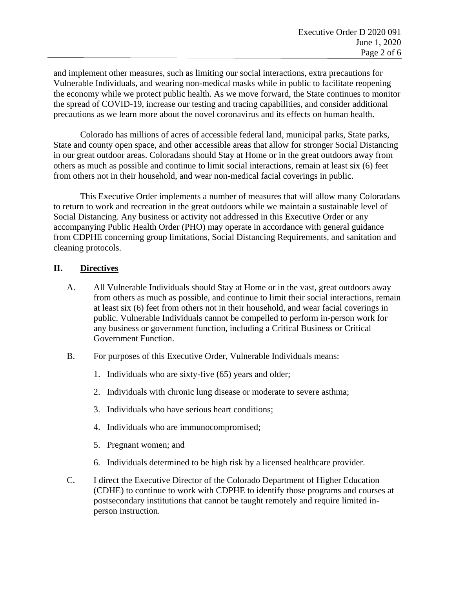and implement other measures, such as limiting our social interactions, extra precautions for Vulnerable Individuals, and wearing non-medical masks while in public to facilitate reopening the economy while we protect public health. As we move forward, the State continues to monitor the spread of COVID-19, increase our testing and tracing capabilities, and consider additional precautions as we learn more about the novel coronavirus and its effects on human health.

Colorado has millions of acres of accessible federal land, municipal parks, State parks, State and county open space, and other accessible areas that allow for stronger Social Distancing in our great outdoor areas. Coloradans should Stay at Home or in the great outdoors away from others as much as possible and continue to limit social interactions, remain at least six (6) feet from others not in their household, and wear non-medical facial coverings in public.

This Executive Order implements a number of measures that will allow many Coloradans to return to work and recreation in the great outdoors while we maintain a sustainable level of Social Distancing. Any business or activity not addressed in this Executive Order or any accompanying Public Health Order (PHO) may operate in accordance with general guidance from CDPHE concerning group limitations, Social Distancing Requirements, and sanitation and cleaning protocols.

#### **II. Directives**

- A. All Vulnerable Individuals should Stay at Home or in the vast, great outdoors away from others as much as possible, and continue to limit their social interactions, remain at least six (6) feet from others not in their household, and wear facial coverings in public. Vulnerable Individuals cannot be compelled to perform in-person work for any business or government function, including a Critical Business or Critical Government Function.
- B. For purposes of this Executive Order, Vulnerable Individuals means:
	- 1. Individuals who are sixty-five (65) years and older;
	- 2. Individuals with chronic lung disease or moderate to severe asthma;
	- 3. Individuals who have serious heart conditions;
	- 4. Individuals who are immunocompromised;
	- 5. Pregnant women; and
	- 6. Individuals determined to be high risk by a licensed healthcare provider.
- C. I direct the Executive Director of the Colorado Department of Higher Education (CDHE) to continue to work with CDPHE to identify those programs and courses at postsecondary institutions that cannot be taught remotely and require limited inperson instruction.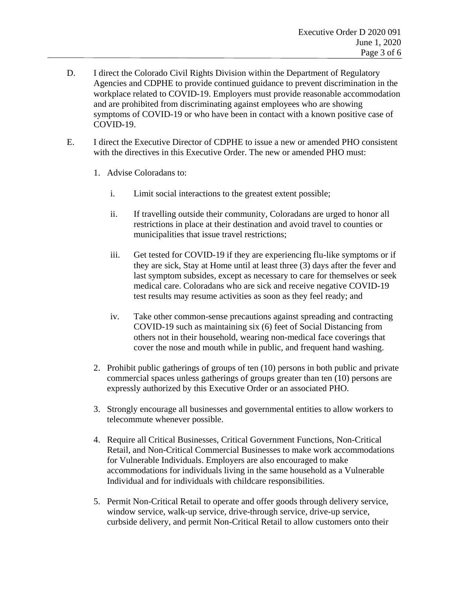- D. I direct the Colorado Civil Rights Division within the Department of Regulatory Agencies and CDPHE to provide continued guidance to prevent discrimination in the workplace related to COVID-19. Employers must provide reasonable accommodation and are prohibited from discriminating against employees who are showing symptoms of COVID-19 or who have been in contact with a known positive case of COVID-19.
- E. I direct the Executive Director of CDPHE to issue a new or amended PHO consistent with the directives in this Executive Order. The new or amended PHO must:
	- 1. Advise Coloradans to:
		- i. Limit social interactions to the greatest extent possible;
		- ii. If travelling outside their community, Coloradans are urged to honor all restrictions in place at their destination and avoid travel to counties or municipalities that issue travel restrictions;
		- iii. Get tested for COVID-19 if they are experiencing flu-like symptoms or if they are sick, Stay at Home until at least three (3) days after the fever and last symptom subsides, except as necessary to care for themselves or seek medical care. Coloradans who are sick and receive negative COVID-19 test results may resume activities as soon as they feel ready; and
		- iv. Take other common-sense precautions against spreading and contracting COVID-19 such as maintaining six (6) feet of Social Distancing from others not in their household, wearing non-medical face coverings that cover the nose and mouth while in public, and frequent hand washing.
	- 2. Prohibit public gatherings of groups of ten (10) persons in both public and private commercial spaces unless gatherings of groups greater than ten (10) persons are expressly authorized by this Executive Order or an associated PHO.
	- 3. Strongly encourage all businesses and governmental entities to allow workers to telecommute whenever possible.
	- 4. Require all Critical Businesses, Critical Government Functions, Non-Critical Retail, and Non-Critical Commercial Businesses to make work accommodations for Vulnerable Individuals. Employers are also encouraged to make accommodations for individuals living in the same household as a Vulnerable Individual and for individuals with childcare responsibilities.
	- 5. Permit Non-Critical Retail to operate and offer goods through delivery service, window service, walk-up service, drive-through service, drive-up service, curbside delivery, and permit Non-Critical Retail to allow customers onto their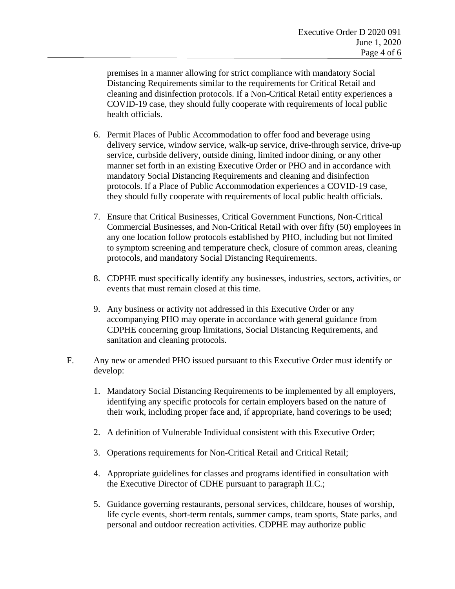premises in a manner allowing for strict compliance with mandatory Social Distancing Requirements similar to the requirements for Critical Retail and cleaning and disinfection protocols. If a Non-Critical Retail entity experiences a COVID-19 case, they should fully cooperate with requirements of local public health officials.

- 6. Permit Places of Public Accommodation to offer food and beverage using delivery service, window service, walk-up service, drive-through service, drive-up service, curbside delivery, outside dining, limited indoor dining, or any other manner set forth in an existing Executive Order or PHO and in accordance with mandatory Social Distancing Requirements and cleaning and disinfection protocols. If a Place of Public Accommodation experiences a COVID-19 case, they should fully cooperate with requirements of local public health officials.
- 7. Ensure that Critical Businesses, Critical Government Functions, Non-Critical Commercial Businesses, and Non-Critical Retail with over fifty (50) employees in any one location follow protocols established by PHO, including but not limited to symptom screening and temperature check, closure of common areas, cleaning protocols, and mandatory Social Distancing Requirements.
- 8. CDPHE must specifically identify any businesses, industries, sectors, activities, or events that must remain closed at this time.
- 9. Any business or activity not addressed in this Executive Order or any accompanying PHO may operate in accordance with general guidance from CDPHE concerning group limitations, Social Distancing Requirements, and sanitation and cleaning protocols.
- F. Any new or amended PHO issued pursuant to this Executive Order must identify or develop:
	- 1. Mandatory Social Distancing Requirements to be implemented by all employers, identifying any specific protocols for certain employers based on the nature of their work, including proper face and, if appropriate, hand coverings to be used;
	- 2. A definition of Vulnerable Individual consistent with this Executive Order;
	- 3. Operations requirements for Non-Critical Retail and Critical Retail;
	- 4. Appropriate guidelines for classes and programs identified in consultation with the Executive Director of CDHE pursuant to paragraph II.C.;
	- 5. Guidance governing restaurants, personal services, childcare, houses of worship, life cycle events, short-term rentals, summer camps, team sports, State parks, and personal and outdoor recreation activities. CDPHE may authorize public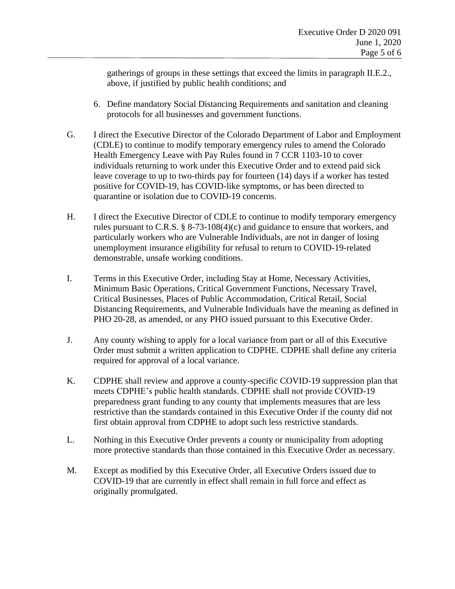gatherings of groups in these settings that exceed the limits in paragraph II.E.2., above, if justified by public health conditions; and

- 6. Define mandatory Social Distancing Requirements and sanitation and cleaning protocols for all businesses and government functions.
- G. I direct the Executive Director of the Colorado Department of Labor and Employment (CDLE) to continue to modify temporary emergency rules to amend the Colorado Health Emergency Leave with Pay Rules found in 7 CCR 1103-10 to cover individuals returning to work under this Executive Order and to extend paid sick leave coverage to up to two-thirds pay for fourteen (14) days if a worker has tested positive for COVID-19, has COVID-like symptoms, or has been directed to quarantine or isolation due to COVID-19 concerns.
- H. I direct the Executive Director of CDLE to continue to modify temporary emergency rules pursuant to C.R.S. § 8-73-108(4)(c) and guidance to ensure that workers, and particularly workers who are Vulnerable Individuals, are not in danger of losing unemployment insurance eligibility for refusal to return to COVID-19-related demonstrable, unsafe working conditions.
- I. Terms in this Executive Order, including Stay at Home, Necessary Activities, Minimum Basic Operations, Critical Government Functions, Necessary Travel, Critical Businesses, Places of Public Accommodation, Critical Retail, Social Distancing Requirements, and Vulnerable Individuals have the meaning as defined in PHO 20-28, as amended, or any PHO issued pursuant to this Executive Order.
- J. Any county wishing to apply for a local variance from part or all of this Executive Order must submit a written application to CDPHE. CDPHE shall define any criteria required for approval of a local variance.
- K. CDPHE shall review and approve a county-specific COVID-19 suppression plan that meets CDPHE's public health standards. CDPHE shall not provide COVID-19 preparedness grant funding to any county that implements measures that are less restrictive than the standards contained in this Executive Order if the county did not first obtain approval from CDPHE to adopt such less restrictive standards.
- L. Nothing in this Executive Order prevents a county or municipality from adopting more protective standards than those contained in this Executive Order as necessary.
- M. Except as modified by this Executive Order, all Executive Orders issued due to COVID-19 that are currently in effect shall remain in full force and effect as originally promulgated.